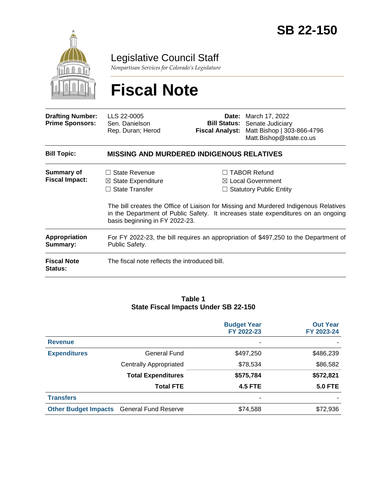

Legislative Council Staff

*Nonpartisan Services for Colorado's Legislature*

# **Fiscal Note**

| <b>Drafting Number:</b><br><b>Prime Sponsors:</b> | LLS 22-0005<br>Sen. Danielson<br>Rep. Duran; Herod                                                                   | Fiscal Analyst: | <b>Date:</b> March 17, 2022<br><b>Bill Status:</b> Senate Judiciary<br>Matt Bishop   303-866-4796<br>Matt.Bishop@state.co.us                                                                                                                                       |  |  |  |
|---------------------------------------------------|----------------------------------------------------------------------------------------------------------------------|-----------------|--------------------------------------------------------------------------------------------------------------------------------------------------------------------------------------------------------------------------------------------------------------------|--|--|--|
| <b>Bill Topic:</b>                                | <b>MISSING AND MURDERED INDIGENOUS RELATIVES</b>                                                                     |                 |                                                                                                                                                                                                                                                                    |  |  |  |
| Summary of<br><b>Fiscal Impact:</b>               | State Revenue<br>$\perp$<br>$\boxtimes$ State Expenditure<br>$\Box$ State Transfer<br>basis beginning in FY 2022-23. |                 | <b>TABOR Refund</b><br>$\boxtimes$ Local Government<br>$\Box$ Statutory Public Entity<br>The bill creates the Office of Liaison for Missing and Murdered Indigenous Relatives<br>in the Department of Public Safety. It increases state expenditures on an ongoing |  |  |  |
| <b>Appropriation</b><br>Summary:                  | For FY 2022-23, the bill requires an appropriation of \$497,250 to the Department of<br>Public Safety.               |                 |                                                                                                                                                                                                                                                                    |  |  |  |
| <b>Fiscal Note</b><br><b>Status:</b>              | The fiscal note reflects the introduced bill.                                                                        |                 |                                                                                                                                                                                                                                                                    |  |  |  |

#### **Table 1 State Fiscal Impacts Under SB 22-150**

|                             |                               | <b>Budget Year</b> | <b>Out Year</b> |
|-----------------------------|-------------------------------|--------------------|-----------------|
|                             |                               | FY 2022-23         | FY 2023-24      |
| <b>Revenue</b>              |                               |                    |                 |
| <b>Expenditures</b>         | <b>General Fund</b>           | \$497,250          | \$486,239       |
|                             | <b>Centrally Appropriated</b> | \$78,534           | \$86,582        |
|                             | <b>Total Expenditures</b>     | \$575,784          | \$572,821       |
|                             | <b>Total FTE</b>              | <b>4.5 FTE</b>     | <b>5.0 FTE</b>  |
| <b>Transfers</b>            |                               |                    |                 |
| <b>Other Budget Impacts</b> | <b>General Fund Reserve</b>   | \$74,588           | \$72,936        |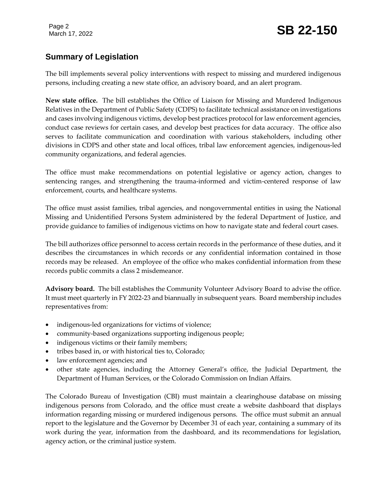## **Summary of Legislation**

The bill implements several policy interventions with respect to missing and murdered indigenous persons, including creating a new state office, an advisory board, and an alert program.

**New state office.** The bill establishes the Office of Liaison for Missing and Murdered Indigenous Relatives in the Department of Public Safety (CDPS) to facilitate technical assistance on investigations and cases involving indigenous victims, develop best practices protocol for law enforcement agencies, conduct case reviews for certain cases, and develop best practices for data accuracy. The office also serves to facilitate communication and coordination with various stakeholders, including other divisions in CDPS and other state and local offices, tribal law enforcement agencies, indigenous-led community organizations, and federal agencies.

The office must make recommendations on potential legislative or agency action, changes to sentencing ranges, and strengthening the trauma-informed and victim-centered response of law enforcement, courts, and healthcare systems.

The office must assist families, tribal agencies, and nongovernmental entities in using the National Missing and Unidentified Persons System administered by the federal Department of Justice, and provide guidance to families of indigenous victims on how to navigate state and federal court cases.

The bill authorizes office personnel to access certain records in the performance of these duties, and it describes the circumstances in which records or any confidential information contained in those records may be released. An employee of the office who makes confidential information from these records public commits a class 2 misdemeanor.

**Advisory board.** The bill establishes the Community Volunteer Advisory Board to advise the office. It must meet quarterly in FY 2022-23 and biannually in subsequent years. Board membership includes representatives from:

- indigenous-led organizations for victims of violence;
- community-based organizations supporting indigenous people;
- indigenous victims or their family members;
- tribes based in, or with historical ties to, Colorado;
- law enforcement agencies; and
- other state agencies, including the Attorney General's office, the Judicial Department, the Department of Human Services, or the Colorado Commission on Indian Affairs.

The Colorado Bureau of Investigation (CBI) must maintain a clearinghouse database on missing indigenous persons from Colorado, and the office must create a website dashboard that displays information regarding missing or murdered indigenous persons. The office must submit an annual report to the legislature and the Governor by December 31 of each year, containing a summary of its work during the year, information from the dashboard, and its recommendations for legislation, agency action, or the criminal justice system.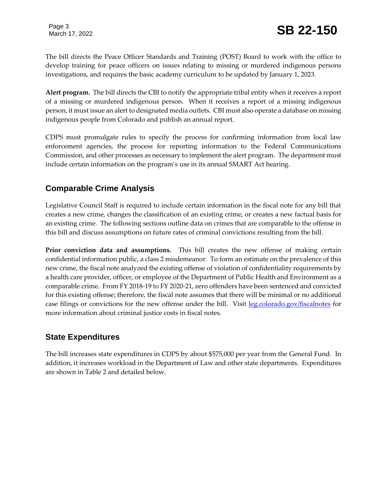The bill directs the Peace Officer Standards and Training (POST) Board to work with the office to develop training for peace officers on issues relating to missing or murdered indigenous persons investigations, and requires the basic academy curriculum to be updated by January 1, 2023.

**Alert program.** The bill directs the CBI to notify the appropriate tribal entity when it receives a report of a missing or murdered indigenous person. When it receives a report of a missing indigenous person, it must issue an alert to designated media outlets. CBI must also operate a database on missing indigenous people from Colorado and publish an annual report.

CDPS must promulgate rules to specify the process for confirming information from local law enforcement agencies, the process for reporting information to the Federal Communications Commission, and other processes as necessary to implement the alert program. The department must include certain information on the program's use in its annual SMART Act hearing.

## **Comparable Crime Analysis**

Legislative Council Staff is required to include certain information in the fiscal note for any bill that creates a new crime, changes the classification of an existing crime, or creates a new factual basis for an existing crime. The following sections outline data on crimes that are comparable to the offense in this bill and discuss assumptions on future rates of criminal convictions resulting from the bill.

**Prior conviction data and assumptions.** This bill creates the new offense of making certain confidential information public, a class 2 misdemeanor. To form an estimate on the prevalence of this new crime, the fiscal note analyzed the existing offense of violation of confidentiality requirements by a health care provider, officer, or employee of the Department of Public Health and Environment as a comparable crime. From FY 2018-19 to FY 2020-21, zero offenders have been sentenced and convicted for this existing offense; therefore, the fiscal note assumes that there will be minimal or no additional case filings or convictions for the new offense under the bill. Visit [leg.colorado.gov/fiscalnotes](http://leg.colorado.gov/fiscalnotes/) for more information about criminal justice costs in fiscal notes.

## **State Expenditures**

The bill increases state expenditures in CDPS by about \$575,000 per year from the General Fund. In addition, it increases workload in the Department of Law and other state departments. Expenditures are shown in Table 2 and detailed below.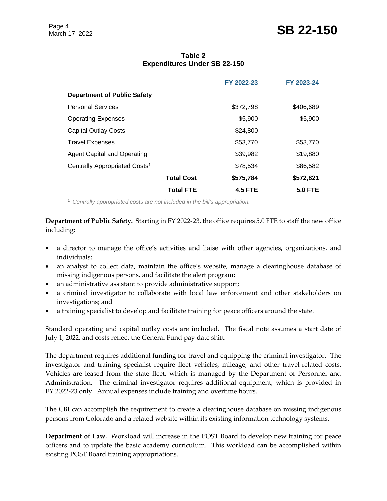## Page 4<br>March 17, 2022 **SB 22-150**

#### **Table 2 Expenditures Under SB 22-150**

|                                           |                   | FY 2022-23     | FY 2023-24     |
|-------------------------------------------|-------------------|----------------|----------------|
| <b>Department of Public Safety</b>        |                   |                |                |
| <b>Personal Services</b>                  |                   | \$372,798      | \$406,689      |
| <b>Operating Expenses</b>                 |                   | \$5,900        | \$5,900        |
| <b>Capital Outlay Costs</b>               |                   | \$24,800       |                |
| <b>Travel Expenses</b>                    |                   | \$53,770       | \$53,770       |
| <b>Agent Capital and Operating</b>        |                   | \$39,982       | \$19,880       |
| Centrally Appropriated Costs <sup>1</sup> |                   | \$78,534       | \$86,582       |
|                                           | <b>Total Cost</b> | \$575,784      | \$572,821      |
|                                           | <b>Total FTE</b>  | <b>4.5 FTE</b> | <b>5.0 FTE</b> |

<sup>1</sup> *Centrally appropriated costs are not included in the bill's appropriation.*

**Department of Public Safety.** Starting in FY 2022-23, the office requires 5.0 FTE to staff the new office including:

- a director to manage the office's activities and liaise with other agencies, organizations, and individuals;
- an analyst to collect data, maintain the office's website, manage a clearinghouse database of missing indigenous persons, and facilitate the alert program;
- an administrative assistant to provide administrative support;
- a criminal investigator to collaborate with local law enforcement and other stakeholders on investigations; and
- a training specialist to develop and facilitate training for peace officers around the state.

Standard operating and capital outlay costs are included. The fiscal note assumes a start date of July 1, 2022, and costs reflect the General Fund pay date shift.

The department requires additional funding for travel and equipping the criminal investigator. The investigator and training specialist require fleet vehicles, mileage, and other travel-related costs. Vehicles are leased from the state fleet, which is managed by the Department of Personnel and Administration. The criminal investigator requires additional equipment, which is provided in FY 2022-23 only. Annual expenses include training and overtime hours.

The CBI can accomplish the requirement to create a clearinghouse database on missing indigenous persons from Colorado and a related website within its existing information technology systems.

**Department of Law.** Workload will increase in the POST Board to develop new training for peace officers and to update the basic academy curriculum. This workload can be accomplished within existing POST Board training appropriations.